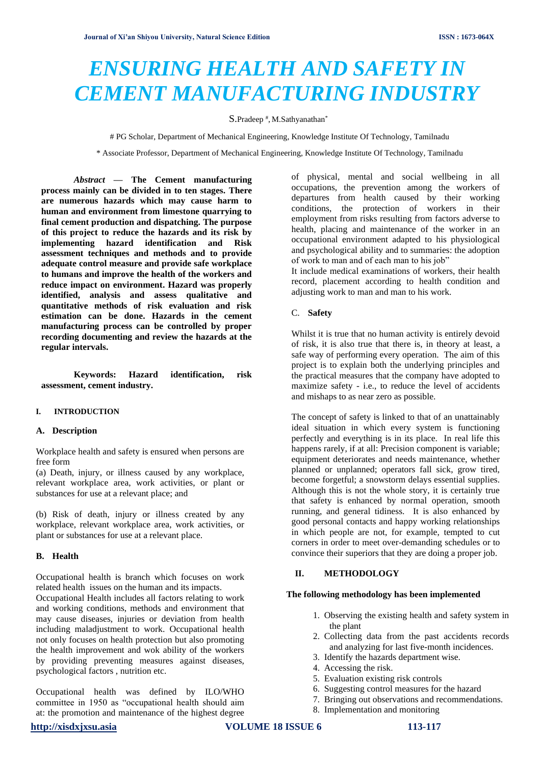# *ENSURING HEALTH AND SAFETY IN CEMENT MANUFACTURING INDUSTRY*

S.Pradeep<sup>#</sup>, M.Sathyanathan<sup>\*</sup>

# PG Scholar, Department of Mechanical Engineering, Knowledge Institute Of Technology, Tamilnadu

\* Associate Professor, Department of Mechanical Engineering, Knowledge Institute Of Technology, Tamilnadu

*Abstract* **— The Cement manufacturing process mainly can be divided in to ten stages. There are numerous hazards which may cause harm to human and environment from limestone quarrying to final cement production and dispatching. The purpose of this project to reduce the hazards and its risk by implementing hazard identification and Risk assessment techniques and methods and to provide adequate control measure and provide safe workplace to humans and improve the health of the workers and reduce impact on environment. Hazard was properly identified, analysis and assess qualitative and quantitative methods of risk evaluation and risk estimation can be done. Hazards in the cement manufacturing process can be controlled by proper recording documenting and review the hazards at the regular intervals.**

**Keywords: Hazard identification, risk assessment, cement industry.** 

## **I. INTRODUCTION**

### **A. Description**

Workplace health and safety is ensured when persons are free form

(a) Death, injury, or illness caused by any workplace, relevant workplace area, work activities, or plant or substances for use at a relevant place; and

(b) Risk of death, injury or illness created by any workplace, relevant workplace area, work activities, or plant or substances for use at a relevant place.

## **B. Health**

Occupational health is branch which focuses on work related health issues on the human and its impacts.

Occupational Health includes all factors relating to work and working conditions, methods and environment that may cause diseases, injuries or deviation from health including maladjustment to work. Occupational health not only focuses on health protection but also promoting the health improvement and wok ability of the workers by providing preventing measures against diseases, psychological factors , nutrition etc.

Occupational health was defined by ILO/WHO committee in 1950 as "occupational health should aim at: the promotion and maintenance of the highest degree

of physical, mental and social wellbeing in all occupations, the prevention among the workers of departures from health caused by their working conditions, the protection of workers in their employment from risks resulting from factors adverse to health, placing and maintenance of the worker in an occupational environment adapted to his physiological and psychological ability and to summaries: the adoption of work to man and of each man to his job"

It include medical examinations of workers, their health record, placement according to health condition and adjusting work to man and man to his work.

#### C. **Safety**

Whilst it is true that no human activity is entirely devoid of risk, it is also true that there is, in theory at least, a safe way of performing every operation. The aim of this project is to explain both the underlying principles and the practical measures that the company have adopted to maximize safety - i.e., to reduce the level of accidents and mishaps to as near zero as possible.

The concept of safety is linked to that of an unattainably ideal situation in which every system is functioning perfectly and everything is in its place. In real life this happens rarely, if at all: Precision component is variable; equipment deteriorates and needs maintenance, whether planned or unplanned; operators fall sick, grow tired, become forgetful; a snowstorm delays essential supplies. Although this is not the whole story, it is certainly true that safety is enhanced by normal operation, smooth running, and general tidiness. It is also enhanced by good personal contacts and happy working relationships in which people are not, for example, tempted to cut corners in order to meet over-demanding schedules or to convince their superiors that they are doing a proper job.

#### **II. METHODOLOGY**

## **The following methodology has been implemented**

- 1. Observing the existing health and safety system in the plant
- 2. Collecting data from the past accidents records and analyzing for last five-month incidences.
- 3. Identify the hazards department wise.
- 4. Accessing the risk.
- 5. Evaluation existing risk controls
- 6. Suggesting control measures for the hazard
- 7. Bringing out observations and recommendations.
- 8. Implementation and monitoring

# **[http://xisdxjxsu.asia](http://xisdxjxsu.asia/) VOLUME 18 ISSUE 6 113-117**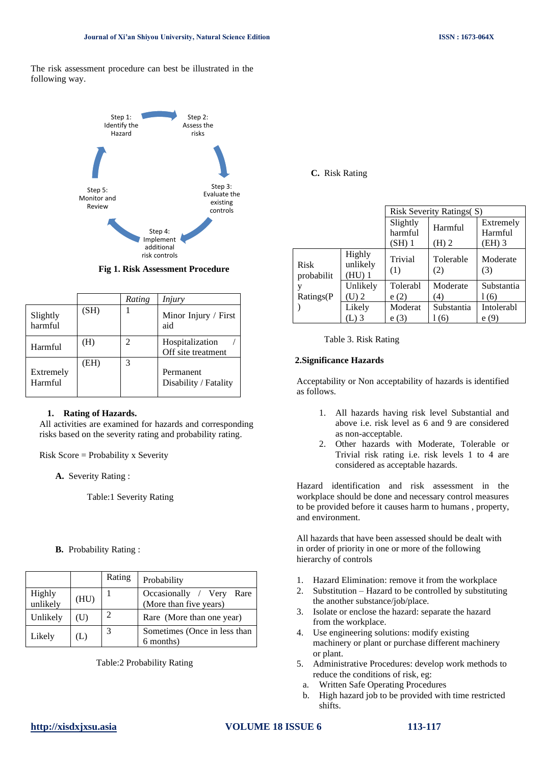The risk assessment procedure can best be illustrated in the following way.



 **Fig 1. Risk Assessment Procedure**

|                      |      | Rating | Injury                                |
|----------------------|------|--------|---------------------------------------|
| Slightly<br>harmful  | (SH) |        | Minor Injury / First<br>aid           |
| Harmful              | (H)  | 2      | Hospitalization<br>Off site treatment |
| Extremely<br>Harmful | (EH) | 3      | Permanent<br>Disability / Fatality    |

# **1. Rating of Hazards.**

All activities are examined for hazards and corresponding risks based on the severity rating and probability rating.

Risk Score = Probability x Severity

**A.** Severity Rating :

Table:1 Severity Rating

**B.** Probability Rating :

|                    |      | Rating         | Probability                                           |
|--------------------|------|----------------|-------------------------------------------------------|
| Highly<br>unlikely | (HU) |                | Occasionally / Very<br>Rare<br>(More than five years) |
| Unlikely           | (U)  | $\overline{2}$ | Rare (More than one year)                             |
| Likely             | (L)  | 3              | Sometimes (Once in less than<br>6 months)             |

Table:2 Probability Rating

**C.** Risk Rating

|                                        |                              |                              | <b>Risk Severity Ratings(S)</b> |                                |  |
|----------------------------------------|------------------------------|------------------------------|---------------------------------|--------------------------------|--|
|                                        |                              | Slightly<br>harmful<br>(SH)1 | Harmful<br>$(H)$ 2              | Extremely<br>Harmful<br>(EH) 3 |  |
| <b>Risk</b><br>probabilit<br>Ratings(P | Highly<br>unlikely<br>(HU) 1 | Trivial<br>(1)               | Tolerable<br>(2)                | Moderate<br>(3)                |  |
|                                        | Unlikely<br>(U) 2            | Tolerabl<br>e(2)             | Moderate<br>(4)                 | Substantia<br>1 (6)            |  |
|                                        | Likely                       | Moderat<br>e                 | Substantia<br>(6)               | Intolerabl<br>e(9)             |  |



# **2.Significance Hazards**

Acceptability or Non acceptability of hazards is identified as follows.

- 1. All hazards having risk level Substantial and above i.e. risk level as 6 and 9 are considered as non-acceptable.
- 2. Other hazards with Moderate, Tolerable or Trivial risk rating i.e. risk levels 1 to 4 are considered as acceptable hazards.

Hazard identification and risk assessment in the workplace should be done and necessary control measures to be provided before it causes harm to humans , property, and environment.

All hazards that have been assessed should be dealt with in order of priority in one or more of the following hierarchy of controls

- 1. Hazard Elimination: remove it from the workplace
- 2. Substitution Hazard to be controlled by substituting the another substance/job/place.
- 3. Isolate or enclose the hazard: separate the hazard from the workplace.
- 4. Use engineering solutions: modify existing machinery or plant or purchase different machinery or plant.
- 5. Administrative Procedures: develop work methods to reduce the conditions of risk, eg:
	- a. Written Safe Operating Procedures
	- b. High hazard job to be provided with time restricted shifts.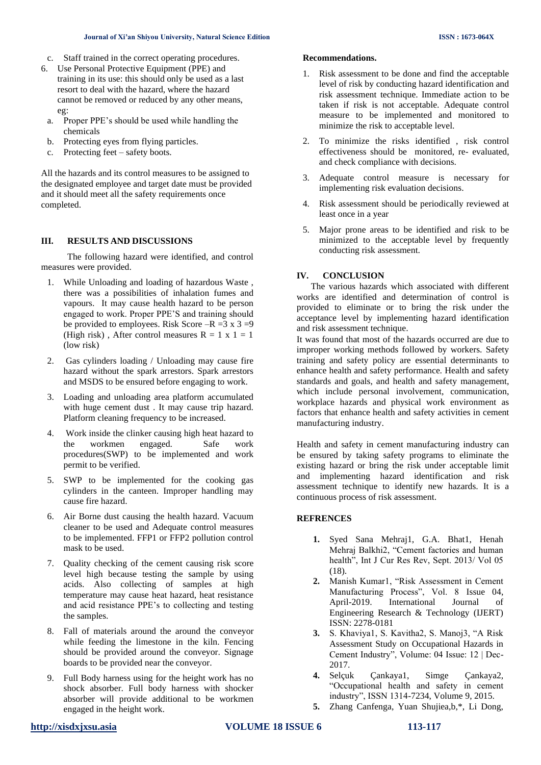- c. Staff trained in the correct operating procedures.
- 6. Use Personal Protective Equipment (PPE) and training in its use: this should only be used as a last resort to deal with the hazard, where the hazard cannot be removed or reduced by any other means, eg:
	- a. Proper PPE's should be used while handling the chemicals
	- b. Protecting eyes from flying particles.
	- c. Protecting feet safety boots.

All the hazards and its control measures to be assigned to the designated employee and target date must be provided and it should meet all the safety requirements once completed.

# **III. RESULTS AND DISCUSSIONS**

The following hazard were identified, and control measures were provided.

- 1. While Unloading and loading of hazardous Waste , there was a possibilities of inhalation fumes and vapours. It may cause health hazard to be person engaged to work. Proper PPE'S and training should be provided to employees. Risk Score  $-R = 3 \times 3 = 9$ (High risk), After control measures  $R = 1 x 1 = 1$ (low risk)
- 2. Gas cylinders loading / Unloading may cause fire hazard without the spark arrestors. Spark arrestors and MSDS to be ensured before engaging to work.
- 3. Loading and unloading area platform accumulated with huge cement dust . It may cause trip hazard. Platform cleaning frequency to be increased.
- 4. Work inside the clinker causing high heat hazard to the workmen engaged. Safe work procedures(SWP) to be implemented and work permit to be verified.
- 5. SWP to be implemented for the cooking gas cylinders in the canteen. Improper handling may cause fire hazard.
- 6. Air Borne dust causing the health hazard. Vacuum cleaner to be used and Adequate control measures to be implemented. FFP1 or FFP2 pollution control mask to be used.
- 7. Quality checking of the cement causing risk score level high because testing the sample by using acids. Also collecting of samples at high temperature may cause heat hazard, heat resistance and acid resistance PPE's to collecting and testing the samples.
- 8. Fall of materials around the around the conveyor while feeding the limestone in the kiln. Fencing should be provided around the conveyor. Signage boards to be provided near the conveyor.
- 9. Full Body harness using for the height work has no shock absorber. Full body harness with shocker absorber will provide additional to be workmen engaged in the height work.

#### **Recommendations.**

- 1. Risk assessment to be done and find the acceptable level of risk by conducting hazard identification and risk assessment technique. Immediate action to be taken if risk is not acceptable. Adequate control measure to be implemented and monitored to minimize the risk to acceptable level.
- 2. To minimize the risks identified , risk control effectiveness should be monitored, re- evaluated, and check compliance with decisions.
- 3. Adequate control measure is necessary for implementing risk evaluation decisions.
- 4. Risk assessment should be periodically reviewed at least once in a year
- 5. Major prone areas to be identified and risk to be minimized to the acceptable level by frequently conducting risk assessment.

## **IV. CONCLUSION**

 The various hazards which associated with different works are identified and determination of control is provided to eliminate or to bring the risk under the acceptance level by implementing hazard identification and risk assessment technique.

It was found that most of the hazards occurred are due to improper working methods followed by workers. Safety training and safety policy are essential determinants to enhance health and safety performance. Health and safety standards and goals, and health and safety management, which include personal involvement, communication, workplace hazards and physical work environment as factors that enhance health and safety activities in cement manufacturing industry.

Health and safety in cement manufacturing industry can be ensured by taking safety programs to eliminate the existing hazard or bring the risk under acceptable limit and implementing hazard identification and risk assessment technique to identify new hazards. It is a continuous process of risk assessment.

## **REFRENCES**

- **1.** Syed Sana Mehraj1, G.A. Bhat1, Henah Mehraj Balkhi2, "Cement factories and human health", Int J Cur Res Rev, Sept. 2013/ Vol 05 (18).
- **2.** Manish Kumar1, "Risk Assessment in Cement Manufacturing Process", Vol. 8 Issue 04, April-2019. International Journal of Engineering Research & Technology (IJERT) ISSN: 2278-0181
- **3.** S. Khaviya1, S. Kavitha2, S. Manoj3, "A Risk Assessment Study on Occupational Hazards in Cement Industry", Volume: 04 Issue: 12 | Dec-2017.
- **4.** Selçuk Çankaya1, Simge Çankaya2, "Occupational health and safety in cement industry", ISSN 1314-7234, Volume 9, 2015.
- **5.** Zhang Canfenga, Yuan Shujiea,b,\*, Li Dong,